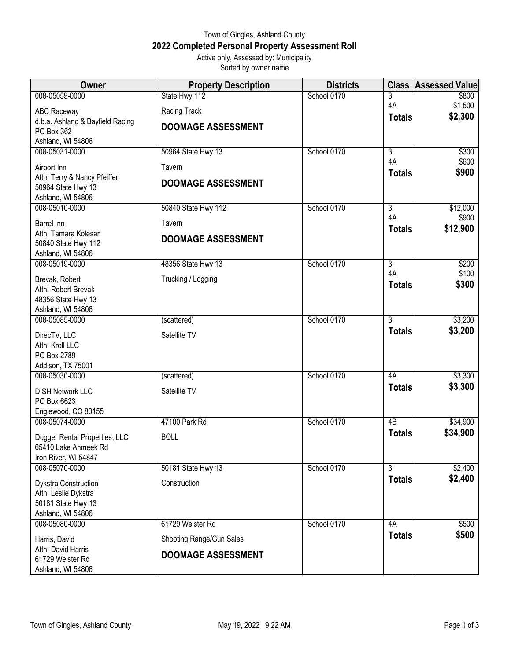## Town of Gingles, Ashland County **2022 Completed Personal Property Assessment Roll** Active only, Assessed by: Municipality

Sorted by owner name

| Owner                                        | <b>Property Description</b> | <b>Districts</b> | <b>Class</b>        | <b>Assessed Value</b> |
|----------------------------------------------|-----------------------------|------------------|---------------------|-----------------------|
| 008-05059-0000                               | State Hwy 112               | School 0170      | 3                   | \$800                 |
| <b>ABC Raceway</b>                           | Racing Track                |                  | 4A<br><b>Totals</b> | \$1,500<br>\$2,300    |
| d.b.a. Ashland & Bayfield Racing             | <b>DOOMAGE ASSESSMENT</b>   |                  |                     |                       |
| PO Box 362<br>Ashland, WI 54806              |                             |                  |                     |                       |
| 008-05031-0000                               | 50964 State Hwy 13          | School 0170      | $\overline{3}$      | \$300                 |
| Airport Inn                                  | Tavern                      |                  | 4A                  | \$600                 |
| Attn: Terry & Nancy Pfeiffer                 | <b>DOOMAGE ASSESSMENT</b>   |                  | <b>Totals</b>       | \$900                 |
| 50964 State Hwy 13<br>Ashland, WI 54806      |                             |                  |                     |                       |
| 008-05010-0000                               | 50840 State Hwy 112         | School 0170      | $\overline{3}$      | \$12,000              |
| Barrel Inn                                   | Tavern                      |                  | 4A                  | \$900                 |
| Attn: Tamara Kolesar                         | <b>DOOMAGE ASSESSMENT</b>   |                  | <b>Totals</b>       | \$12,900              |
| 50840 State Hwy 112                          |                             |                  |                     |                       |
| Ashland, WI 54806<br>008-05019-0000          | 48356 State Hwy 13          | School 0170      | $\overline{3}$      | \$200                 |
| Brevak, Robert                               | Trucking / Logging          |                  | 4A                  | \$100                 |
| Attn: Robert Brevak                          |                             |                  | <b>Totals</b>       | \$300                 |
| 48356 State Hwy 13                           |                             |                  |                     |                       |
| Ashland, WI 54806<br>008-05085-0000          | (scattered)                 | School 0170      | $\overline{3}$      | \$3,200               |
|                                              |                             |                  | <b>Totals</b>       | \$3,200               |
| DirecTV, LLC<br>Attn: Kroll LLC              | Satellite TV                |                  |                     |                       |
| PO Box 2789                                  |                             |                  |                     |                       |
| Addison, TX 75001                            |                             |                  |                     |                       |
| 008-05030-0000                               | (scattered)                 | School 0170      | 4A                  | \$3,300<br>\$3,300    |
| <b>DISH Network LLC</b>                      | Satellite TV                |                  | <b>Totals</b>       |                       |
| PO Box 6623<br>Englewood, CO 80155           |                             |                  |                     |                       |
| 008-05074-0000                               | 47100 Park Rd               | School 0170      | $\overline{AB}$     | \$34,900              |
| Dugger Rental Properties, LLC                | <b>BOLL</b>                 |                  | <b>Totals</b>       | \$34,900              |
| 65410 Lake Ahmeek Rd                         |                             |                  |                     |                       |
| Iron River, WI 54847<br>008-05070-0000       | 50181 State Hwy 13          | School 0170      | $\overline{3}$      | \$2,400               |
|                                              | Construction                |                  | <b>Totals</b>       | \$2,400               |
| Dykstra Construction<br>Attn: Leslie Dykstra |                             |                  |                     |                       |
| 50181 State Hwy 13                           |                             |                  |                     |                       |
| Ashland, WI 54806<br>008-05080-0000          | 61729 Weister Rd            | School 0170      | 4A                  | \$500                 |
|                                              |                             |                  | <b>Totals</b>       | \$500                 |
| Harris, David<br>Attn: David Harris          | Shooting Range/Gun Sales    |                  |                     |                       |
| 61729 Weister Rd                             | <b>DOOMAGE ASSESSMENT</b>   |                  |                     |                       |
| Ashland, WI 54806                            |                             |                  |                     |                       |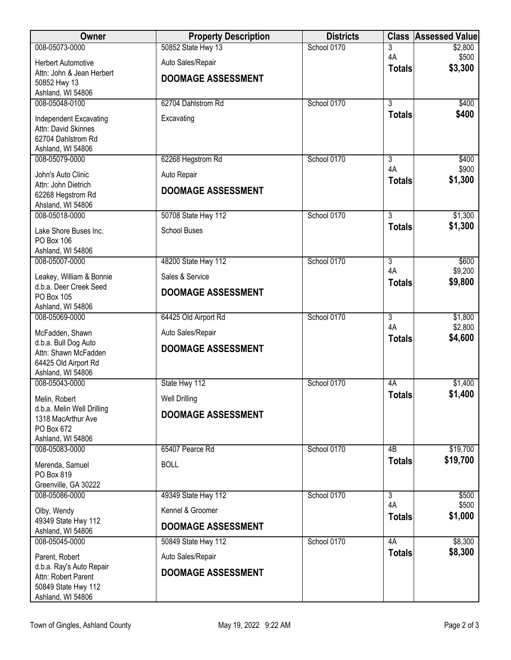| Owner                                            | <b>Property Description</b> | <b>Districts</b> | <b>Class</b>        | <b>Assessed Value</b> |
|--------------------------------------------------|-----------------------------|------------------|---------------------|-----------------------|
| 008-05073-0000                                   | 50852 State Hwy 13          | School 0170      | 3<br>4A             | \$2,800               |
| <b>Herbert Automotive</b>                        | Auto Sales/Repair           |                  | <b>Totals</b>       | \$500<br>\$3,300      |
| Attn: John & Jean Herbert<br>50852 Hwy 13        | <b>DOOMAGE ASSESSMENT</b>   |                  |                     |                       |
| Ashland, WI 54806                                |                             |                  |                     |                       |
| 008-05048-0100                                   | 62704 Dahlstrom Rd          | School 0170      | $\overline{3}$      | \$400                 |
| Independent Excavating                           | Excavating                  |                  | <b>Totals</b>       | \$400                 |
| Attn: David Skinnes<br>62704 Dahlstrom Rd        |                             |                  |                     |                       |
| Ashland, WI 54806                                |                             |                  |                     |                       |
| 008-05079-0000                                   | 62268 Hegstrom Rd           | School 0170      | 3<br>4A             | \$400<br>\$900        |
| John's Auto Clinic                               | Auto Repair                 |                  | <b>Totals</b>       | \$1,300               |
| Attn: John Dietrich<br>62268 Hegstrom Rd         | <b>DOOMAGE ASSESSMENT</b>   |                  |                     |                       |
| Ahsland, WI 54806                                |                             |                  |                     |                       |
| 008-05018-0000                                   | 50708 State Hwy 112         | School 0170      | $\overline{3}$      | \$1,300               |
| Lake Shore Buses Inc.                            | <b>School Buses</b>         |                  | <b>Totals</b>       | \$1,300               |
| PO Box 106<br>Ashland, WI 54806                  |                             |                  |                     |                       |
| 008-05007-0000                                   | 48200 State Hwy 112         | School 0170      | $\overline{3}$      | \$600                 |
| Leakey, William & Bonnie                         | Sales & Service             |                  | 4A                  | \$9,200<br>\$9,800    |
| d.b.a. Deer Creek Seed                           | <b>DOOMAGE ASSESSMENT</b>   |                  | <b>Totals</b>       |                       |
| PO Box 105<br>Ashland, WI 54806                  |                             |                  |                     |                       |
| 008-05069-0000                                   | 64425 Old Airport Rd        | School 0170      | $\overline{3}$      | \$1,800               |
| McFadden, Shawn                                  | Auto Sales/Repair           |                  | 4A<br><b>Totals</b> | \$2,800<br>\$4,600    |
| d.b.a. Bull Dog Auto<br>Attn: Shawn McFadden     | <b>DOOMAGE ASSESSMENT</b>   |                  |                     |                       |
| 64425 Old Airport Rd                             |                             |                  |                     |                       |
| Ashland, WI 54806                                |                             |                  |                     |                       |
| 008-05043-0000                                   | State Hwy 112               | School 0170      | 4A<br><b>Totals</b> | \$1,400<br>\$1,400    |
| Melin, Robert                                    | <b>Well Drilling</b>        |                  |                     |                       |
| d.b.a. Melin Well Drilling<br>1318 MacArthur Ave | <b>DOOMAGE ASSESSMENT</b>   |                  |                     |                       |
| PO Box 672                                       |                             |                  |                     |                       |
| Ashland, WI 54806<br>008-05083-0000              | 65407 Pearce Rd             | School 0170      | 4B                  | \$19,700              |
| Merenda, Samuel                                  | <b>BOLL</b>                 |                  | <b>Totals</b>       | \$19,700              |
| PO Box 819                                       |                             |                  |                     |                       |
| Greenville, GA 30222                             |                             |                  |                     |                       |
| 008-05086-0000                                   | 49349 State Hwy 112         | School 0170      | 3<br>4A             | \$500<br>\$500        |
| Olby, Wendy<br>49349 State Hwy 112               | Kennel & Groomer            |                  | <b>Totals</b>       | \$1,000               |
| Ashland, WI 54806                                | <b>DOOMAGE ASSESSMENT</b>   |                  |                     |                       |
| 008-05045-0000                                   | 50849 State Hwy 112         | School 0170      | 4A                  | \$8,300               |
| Parent, Robert                                   | Auto Sales/Repair           |                  | <b>Totals</b>       | \$8,300               |
| d.b.a. Ray's Auto Repair<br>Attn: Robert Parent  | <b>DOOMAGE ASSESSMENT</b>   |                  |                     |                       |
| 50849 State Hwy 112                              |                             |                  |                     |                       |
| Ashland, WI 54806                                |                             |                  |                     |                       |